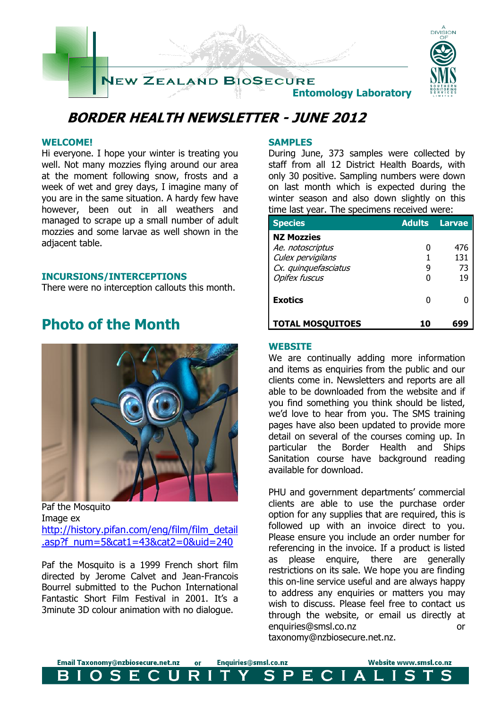

## **BORDER HEALTH NEWSLETTER - JUNE 2012**

#### **WELCOME!**

Hi everyone. I hope your winter is treating you well. Not many mozzies flying around our area at the moment following snow, frosts and a week of wet and grey days, I imagine many of you are in the same situation. A hardy few have however, been out in all weathers and managed to scrape up a small number of adult mozzies and some larvae as well shown in the adjacent table.

#### **INCURSIONS/INTERCEPTIONS**

There were no interception callouts this month.

### **Photo of the Month**



Paf the Mosquito Image ex [http://history.pifan.com/eng/film/film\\_detail](http://history.pifan.com/eng/film/film_detail.asp?f_num=5&cat1=43&cat2=0&uid=240) [.asp?f\\_num=5&cat1=43&cat2=0&uid=240](http://history.pifan.com/eng/film/film_detail.asp?f_num=5&cat1=43&cat2=0&uid=240)

Paf the Mosquito is a 1999 French short film directed by Jerome Calvet and Jean-Francois Bourrel submitted to the Puchon International Fantastic Short Film Festival in 2001. It's a 3minute 3D colour animation with no dialogue.

#### **SAMPLES**

During June, 373 samples were collected by staff from all 12 District Health Boards, with only 30 positive. Sampling numbers were down on last month which is expected during the winter season and also down slightly on this time last year. The specimens received were:

| <b>Species</b>                                                                     | <b>Adults</b> | Larvae           |
|------------------------------------------------------------------------------------|---------------|------------------|
| <b>NZ Mozzies</b><br>Ae. notoscriptus<br>Culex pervigilans<br>Cx. quinquefasciatus | g             | 476<br>131<br>73 |
| <b>Opifex fuscus</b>                                                               |               | 19               |
| <b>Exotics</b>                                                                     |               |                  |
| <b>TOTAL MOSQUITOES</b>                                                            | 10            |                  |

#### **WEBSITE**

We are continually adding more information and items as enquiries from the public and our clients come in. Newsletters and reports are all able to be downloaded from the website and if you find something you think should be listed, we'd love to hear from you. The SMS training pages have also been updated to provide more detail on several of the courses coming up. In particular the Border Health and Ships Sanitation course have background reading available for download.

PHU and government departments' commercial clients are able to use the purchase order option for any supplies that are required, this is followed up with an invoice direct to you. Please ensure you include an order number for referencing in the invoice. If a product is listed as please enquire, there are generally restrictions on its sale. We hope you are finding this on-line service useful and are always happy to address any enquiries or matters you may wish to discuss. Please feel free to contact us through the website, or email us directly at enquiries@smsl.co.nz or taxonomy@nzbiosecure.net.nz.

Email Taxonomy@nzbiosecure.net.nz Enquiries@smsl.co.nz Website www.smsl.co.nz or S R  $\mathbf S$  $\mathsf{P}$ E. E H CIA L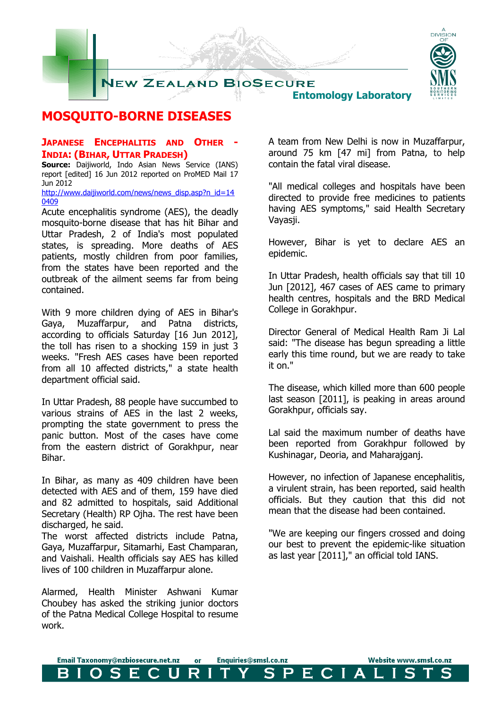

### **MOSQUITO-BORNE DISEASES**

#### **JAPANESE ENCEPHALITIS AND OTHER - INDIA: (BIHAR, UTTAR PRADESH)**

**Source:** Daijiworld, Indo Asian News Service (IANS) report [edited] 16 Jun 2012 reported on ProMED Mail 17 Jun 2012

[http://www.daijiworld.com/news/news\\_disp.asp?n\\_id=14](http://www.daijiworld.com/news/news_disp.asp?n_id=140409) [0409](http://www.daijiworld.com/news/news_disp.asp?n_id=140409)

Acute encephalitis syndrome (AES), the deadly mosquito-borne disease that has hit Bihar and Uttar Pradesh, 2 of India's most populated states, is spreading. More deaths of AES patients, mostly children from poor families, from the states have been reported and the outbreak of the ailment seems far from being contained.

With 9 more children dying of AES in Bihar's Gaya, Muzaffarpur, and Patna districts, according to officials Saturday [16 Jun 2012], the toll has risen to a shocking 159 in just 3 weeks. "Fresh AES cases have been reported from all 10 affected districts," a state health department official said.

In Uttar Pradesh, 88 people have succumbed to various strains of AES in the last 2 weeks, prompting the state government to press the panic button. Most of the cases have come from the eastern district of Gorakhpur, near Bihar.

In Bihar, as many as 409 children have been detected with AES and of them, 159 have died and 82 admitted to hospitals, said Additional Secretary (Health) RP Ojha. The rest have been discharged, he said.

The worst affected districts include Patna, Gaya, Muzaffarpur, Sitamarhi, East Champaran, and Vaishali. Health officials say AES has killed lives of 100 children in Muzaffarpur alone.

Alarmed, Health Minister Ashwani Kumar Choubey has asked the striking junior doctors of the Patna Medical College Hospital to resume work.

A team from New Delhi is now in Muzaffarpur, around 75 km [47 mi] from Patna, to help contain the fatal viral disease.

"All medical colleges and hospitals have been directed to provide free medicines to patients having AES symptoms," said Health Secretary Vayasji.

However, Bihar is yet to declare AES an epidemic.

In Uttar Pradesh, health officials say that till 10 Jun [2012], 467 cases of AES came to primary health centres, hospitals and the BRD Medical College in Gorakhpur.

Director General of Medical Health Ram Ji Lal said: "The disease has begun spreading a little early this time round, but we are ready to take it on."

The disease, which killed more than 600 people last season [2011], is peaking in areas around Gorakhpur, officials say.

Lal said the maximum number of deaths have been reported from Gorakhpur followed by Kushinagar, Deoria, and Maharajganj.

However, no infection of Japanese encephalitis, a virulent strain, has been reported, said health officials. But they caution that this did not mean that the disease had been contained.

"We are keeping our fingers crossed and doing our best to prevent the epidemic-like situation as last year [2011]," an official told IANS.

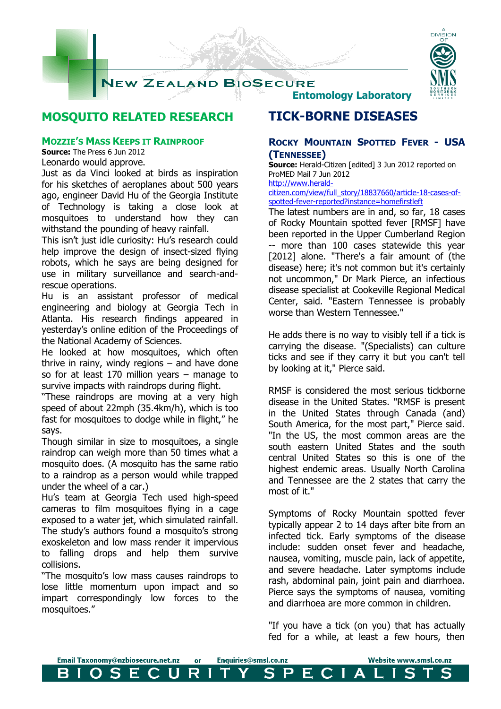

### **MOSQUITO RELATED RESEARCH**

#### **MOZZIE'S MASS KEEPS IT RAINPROOF**

**Source:** The Press 6 Jun 2012

Leonardo would approve.

Just as da Vinci looked at birds as inspiration for his sketches of aeroplanes about 500 years ago, engineer David Hu of the Georgia Institute of Technology is taking a close look at mosquitoes to understand how they can withstand the pounding of heavy rainfall.

This isn't just idle curiosity: Hu's research could help improve the design of insect-sized flying robots, which he says are being designed for use in military surveillance and search-andrescue operations.

Hu is an assistant professor of medical engineering and biology at Georgia Tech in Atlanta. His research findings appeared in yesterday's online edition of the Proceedings of the National Academy of Sciences.

He looked at how mosquitoes, which often thrive in rainy, windy regions  $-$  and have done so for at least 170 million years – manage to survive impacts with raindrops during flight.

"These raindrops are moving at a very high speed of about 22mph (35.4km/h), which is too fast for mosquitoes to dodge while in flight," he says.

Though similar in size to mosquitoes, a single raindrop can weigh more than 50 times what a mosquito does. (A mosquito has the same ratio to a raindrop as a person would while trapped under the wheel of a car.)

Hu's team at Georgia Tech used high-speed cameras to film mosquitoes flying in a cage exposed to a water jet, which simulated rainfall. The study's authors found a mosquito's strong exoskeleton and low mass render it impervious to falling drops and help them survive collisions.

"The mosquito's low mass causes raindrops to lose little momentum upon impact and so impart correspondingly low forces to the mosquitoes."

### **TICK-BORNE DISEASES**

#### **ROCKY MOUNTAIN SPOTTED FEVER - USA (TENNESSEE)**

**Source:** Herald-Citizen [edited] 3 Jun 2012 reported on ProMED Mail 7 Jun 2012

[http://www.herald](http://www.herald-citizen.com/view/full_story/18837660/article-18-cases-of-spotted-fever-reported?instance=homefirstleft)[citizen.com/view/full\\_story/18837660/article-18-cases-of](http://www.herald-citizen.com/view/full_story/18837660/article-18-cases-of-spotted-fever-reported?instance=homefirstleft)[spotted-fever-reported?instance=homefirstleft](http://www.herald-citizen.com/view/full_story/18837660/article-18-cases-of-spotted-fever-reported?instance=homefirstleft)

The latest numbers are in and, so far, 18 cases of Rocky Mountain spotted fever [RMSF] have been reported in the Upper Cumberland Region -- more than 100 cases statewide this year [2012] alone. "There's a fair amount of (the disease) here; it's not common but it's certainly not uncommon," Dr Mark Pierce, an infectious disease specialist at Cookeville Regional Medical Center, said. "Eastern Tennessee is probably worse than Western Tennessee."

He adds there is no way to visibly tell if a tick is carrying the disease. "(Specialists) can culture ticks and see if they carry it but you can't tell by looking at it," Pierce said.

RMSF is considered the most serious tickborne disease in the United States. "RMSF is present in the United States through Canada (and) South America, for the most part," Pierce said. "In the US, the most common areas are the south eastern United States and the south central United States so this is one of the highest endemic areas. Usually North Carolina and Tennessee are the 2 states that carry the most of it."

Symptoms of Rocky Mountain spotted fever typically appear 2 to 14 days after bite from an infected tick. Early symptoms of the disease include: sudden onset fever and headache, nausea, vomiting, muscle pain, lack of appetite, and severe headache. Later symptoms include rash, abdominal pain, joint pain and diarrhoea. Pierce says the symptoms of nausea, vomiting and diarrhoea are more common in children.

"If you have a tick (on you) that has actually fed for a while, at least a few hours, then